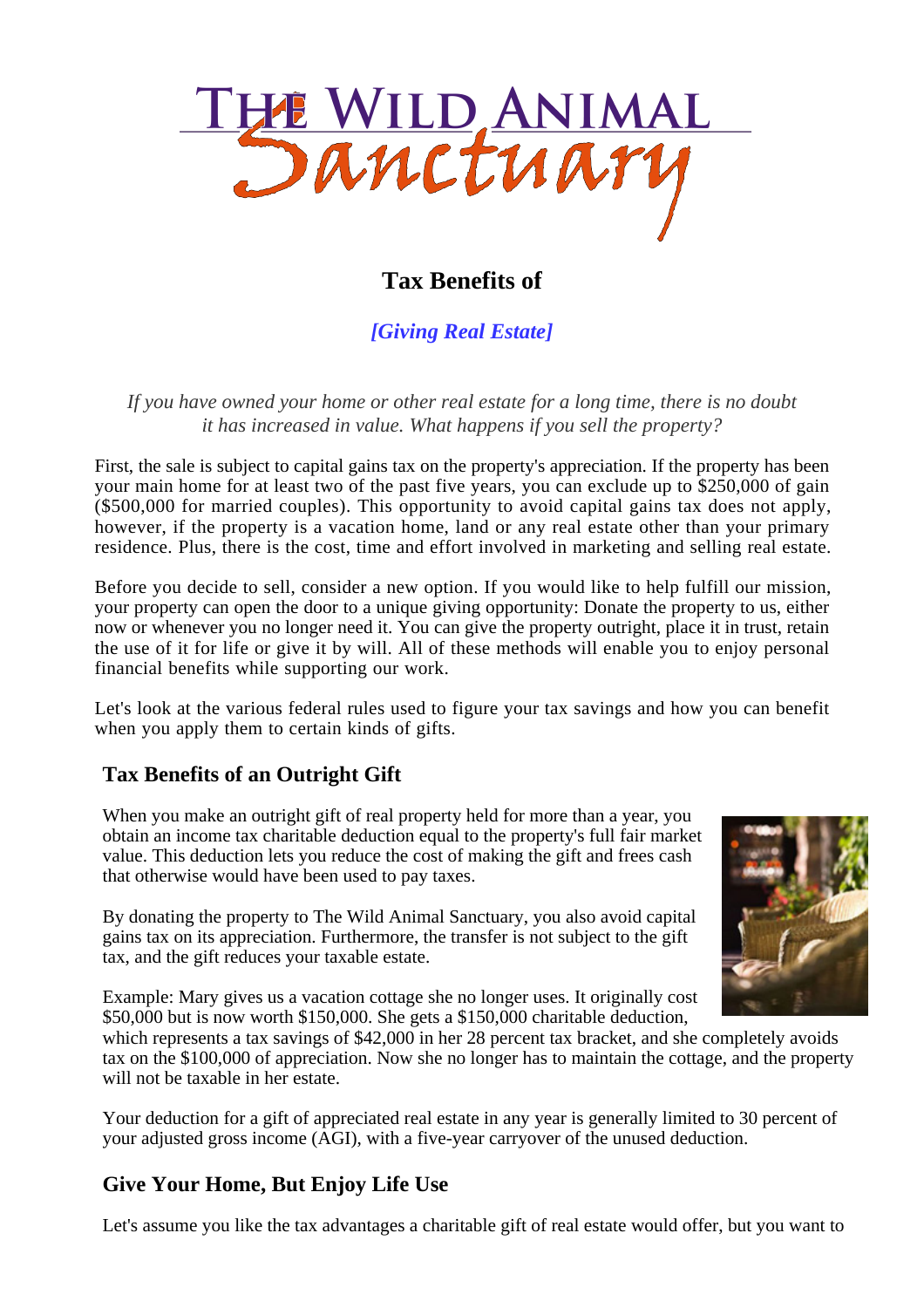

# **Tax Benefits of**

*[Giving Real Estate]*

*If you have owned your home or other real estate for a long time, there is no doubt it has increased in value. What happens if you sell the property?*

First, the sale is subject to capital gains tax on the property's appreciation. If the property has been your main home for at least two of the past five years, you can exclude up to \$250,000 of gain (\$500,000 for married couples). This opportunity to avoid capital gains tax does not apply, however, if the property is a vacation home, land or any real estate other than your primary residence. Plus, there is the cost, time and effort involved in marketing and selling real estate.

Before you decide to sell, consider a new option. If you would like to help fulfill our mission, your property can open the door to a unique giving opportunity: Donate the property to us, either now or whenever you no longer need it. You can give the property outright, place it in trust, retain the use of it for life or give it by will. All of these methods will enable you to enjoy personal financial benefits while supporting our work.

Let's look at the various federal rules used to figure your tax savings and how you can benefit when you apply them to certain kinds of gifts.

# **Tax Benefits of an Outright Gift**

When you make an outright gift of real property held for more than a year, you obtain an income tax charitable deduction equal to the property's full fair market value. This deduction lets you reduce the cost of making the gift and frees cash that otherwise would have been used to pay taxes.

By donating the property to The Wild Animal Sanctuary, you also avoid capital gains tax on its appreciation. Furthermore, the transfer is not subject to the gift tax, and the gift reduces your taxable estate.



Example: Mary gives us a vacation cottage she no longer uses. It originally cost \$50,000 but is now worth \$150,000. She gets a \$150,000 charitable deduction,

which represents a tax savings of \$42,000 in her 28 percent tax bracket, and she completely avoids tax on the \$100,000 of appreciation. Now she no longer has to maintain the cottage, and the property will not be taxable in her estate.

Your deduction for a gift of appreciated real estate in any year is generally limited to 30 percent of your adjusted gross income (AGI), with a five-year carryover of the unused deduction.

# **Give Your Home, But Enjoy Life Use**

Let's assume you like the tax advantages a charitable gift of real estate would offer, but you want to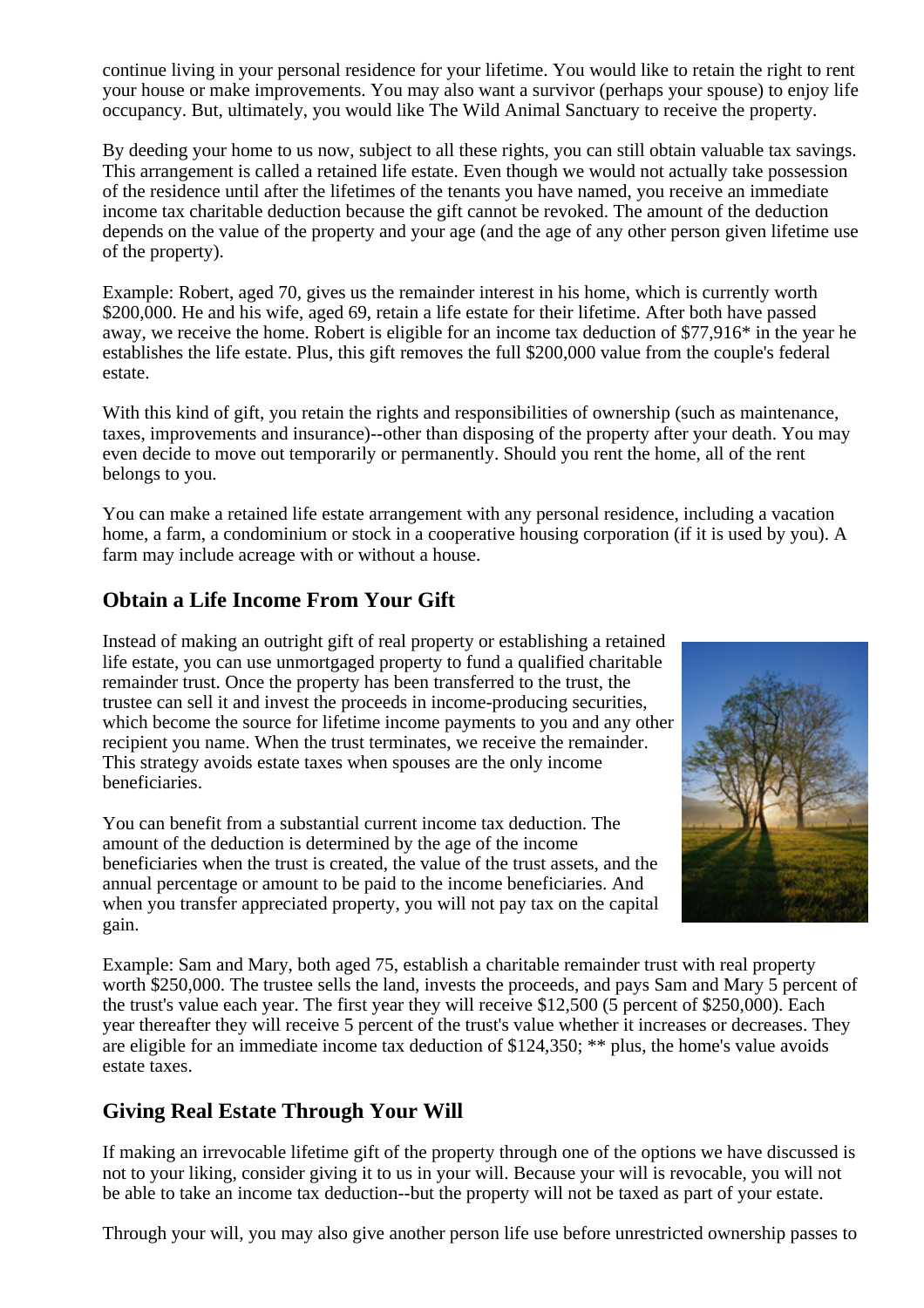continue living in your personal residence for your lifetime. You would like to retain the right to rent your house or make improvements. You may also want a survivor (perhaps your spouse) to enjoy life occupancy. But, ultimately, you would like The Wild Animal Sanctuary to receive the property.

By deeding your home to us now, subject to all these rights, you can still obtain valuable tax savings. This arrangement is called a retained life estate. Even though we would not actually take possession of the residence until after the lifetimes of the tenants you have named, you receive an immediate income tax charitable deduction because the gift cannot be revoked. The amount of the deduction depends on the value of the property and your age (and the age of any other person given lifetime use of the property).

Example: Robert, aged 70, gives us the remainder interest in his home, which is currently worth \$200,000. He and his wife, aged 69, retain a life estate for their lifetime. After both have passed away, we receive the home. Robert is eligible for an income tax deduction of \$77,916\* in the year he establishes the life estate. Plus, this gift removes the full \$200,000 value from the couple's federal estate.

With this kind of gift, you retain the rights and responsibilities of ownership (such as maintenance, taxes, improvements and insurance)--other than disposing of the property after your death. You may even decide to move out temporarily or permanently. Should you rent the home, all of the rent belongs to you.

You can make a retained life estate arrangement with any personal residence, including a vacation home, a farm, a condominium or stock in a cooperative housing corporation (if it is used by you). A farm may include acreage with or without a house.

### **Obtain a Life Income From Your Gift**

Instead of making an outright gift of real property or establishing a retained life estate, you can use unmortgaged property to fund a qualified charitable remainder trust. Once the property has been transferred to the trust, the trustee can sell it and invest the proceeds in income-producing securities, which become the source for lifetime income payments to you and any other recipient you name. When the trust terminates, we receive the remainder. This strategy avoids estate taxes when spouses are the only income beneficiaries.

You can benefit from a substantial current income tax deduction. The amount of the deduction is determined by the age of the income beneficiaries when the trust is created, the value of the trust assets, and the annual percentage or amount to be paid to the income beneficiaries. And when you transfer appreciated property, you will not pay tax on the capital gain.



Example: Sam and Mary, both aged 75, establish a charitable remainder trust with real property worth \$250,000. The trustee sells the land, invests the proceeds, and pays Sam and Mary 5 percent of the trust's value each year. The first year they will receive \$12,500 (5 percent of \$250,000). Each year thereafter they will receive 5 percent of the trust's value whether it increases or decreases. They are eligible for an immediate income tax deduction of \$124,350; \*\* plus, the home's value avoids estate taxes.

# **Giving Real Estate Through Your Will**

If making an irrevocable lifetime gift of the property through one of the options we have discussed is not to your liking, consider giving it to us in your will. Because your will is revocable, you will not be able to take an income tax deduction--but the property will not be taxed as part of your estate.

Through your will, you may also give another person life use before unrestricted ownership passes to